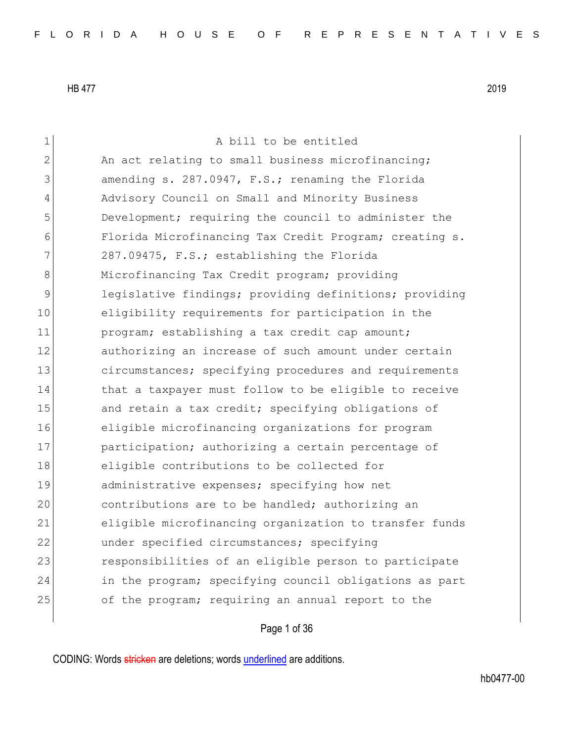| 1              | A bill to be entitled                                  |
|----------------|--------------------------------------------------------|
| $\overline{2}$ | An act relating to small business microfinancing;      |
| 3              | amending s. 287.0947, F.S.; renaming the Florida       |
| 4              | Advisory Council on Small and Minority Business        |
| 5              | Development; requiring the council to administer the   |
| 6              | Florida Microfinancing Tax Credit Program; creating s. |
| 7              | 287.09475, F.S.; establishing the Florida              |
| 8              | Microfinancing Tax Credit program; providing           |
| 9              | legislative findings; providing definitions; providing |
| 10             | eligibility requirements for participation in the      |
| 11             | program; establishing a tax credit cap amount;         |
| 12             | authorizing an increase of such amount under certain   |
| 13             | circumstances; specifying procedures and requirements  |
| 14             | that a taxpayer must follow to be eligible to receive  |
| 15             | and retain a tax credit; specifying obligations of     |
| 16             | eligible microfinancing organizations for program      |
| 17             | participation; authorizing a certain percentage of     |
| 18             | eligible contributions to be collected for             |
| 19             | administrative expenses; specifying how net            |
| 20             | contributions are to be handled; authorizing an        |
| 21             | eligible microfinancing organization to transfer funds |
| 22             | under specified circumstances; specifying              |
| 23             | responsibilities of an eligible person to participate  |
| 24             | in the program; specifying council obligations as part |
| 25             | of the program; requiring an annual report to the      |
|                |                                                        |

Page 1 of 36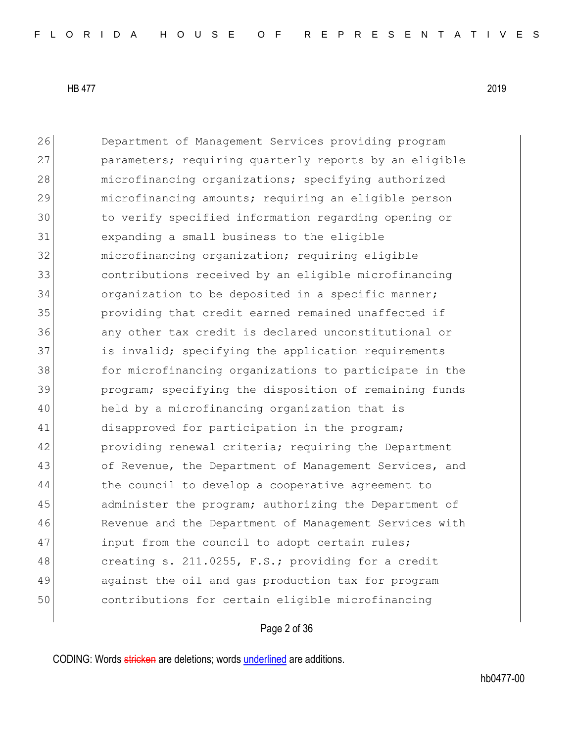26 Department of Management Services providing program 27 parameters; requiring quarterly reports by an eligible 28 microfinancing organizations; specifying authorized 29 microfinancing amounts; requiring an eligible person 30 to verify specified information regarding opening or 31 expanding a small business to the eligible 32 microfinancing organization; requiring eligible 33 contributions received by an eligible microfinancing 34 organization to be deposited in a specific manner; 35 providing that credit earned remained unaffected if 36 any other tax credit is declared unconstitutional or 37 is invalid; specifying the application requirements 38 for microfinancing organizations to participate in the 39 program; specifying the disposition of remaining funds 40 held by a microfinancing organization that is 41 disapproved for participation in the program; 42 **providing renewal criteria; requiring the Department** 43 of Revenue, the Department of Management Services, and 44 black the council to develop a cooperative agreement to 45 administer the program; authorizing the Department of 46 Revenue and the Department of Management Services with 47 input from the council to adopt certain rules; 48 **creating s. 211.0255, F.S.; providing for a credit** 49 against the oil and gas production tax for program 50 contributions for certain eligible microfinancing

#### Page 2 of 36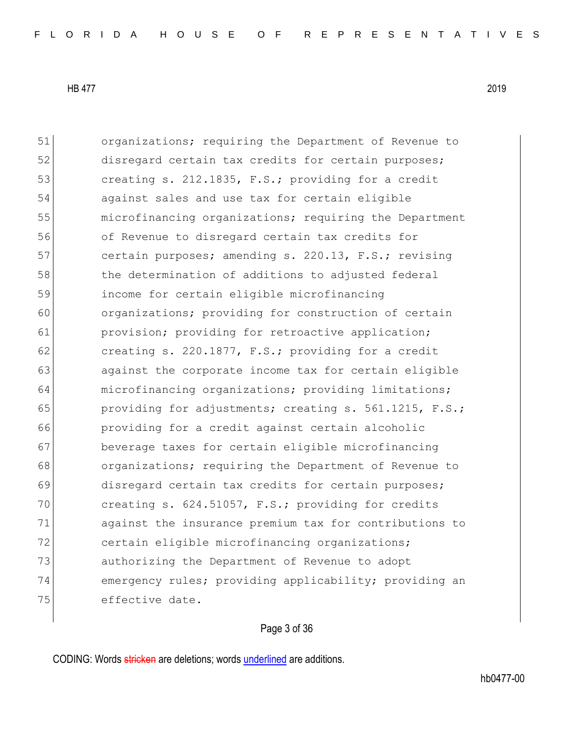51 organizations; requiring the Department of Revenue to 52 disregard certain tax credits for certain purposes; 53 **creating s. 212.1835, F.S.; providing for a credit** 54 against sales and use tax for certain eligible 55 microfinancing organizations; requiring the Department 56 of Revenue to disregard certain tax credits for 57 certain purposes; amending s. 220.13, F.S.; revising 58 the determination of additions to adjusted federal 59 income for certain eligible microfinancing 60 organizations; providing for construction of certain 61 provision; providing for retroactive application; 62 **creating s. 220.1877, F.S.; providing for a credit** 63 against the corporate income tax for certain eligible 64 microfinancing organizations; providing limitations; 65 providing for adjustments; creating s. 561.1215, F.S.; 66 providing for a credit against certain alcoholic 67 beverage taxes for certain eligible microfinancing 68 organizations; requiring the Department of Revenue to 69 disregard certain tax credits for certain purposes; 70 creating s. 624.51057, F.S.; providing for credits 71 against the insurance premium tax for contributions to 72 certain eligible microfinancing organizations; 73 authorizing the Department of Revenue to adopt 74 emergency rules; providing applicability; providing an 75 effective date.

## Page 3 of 36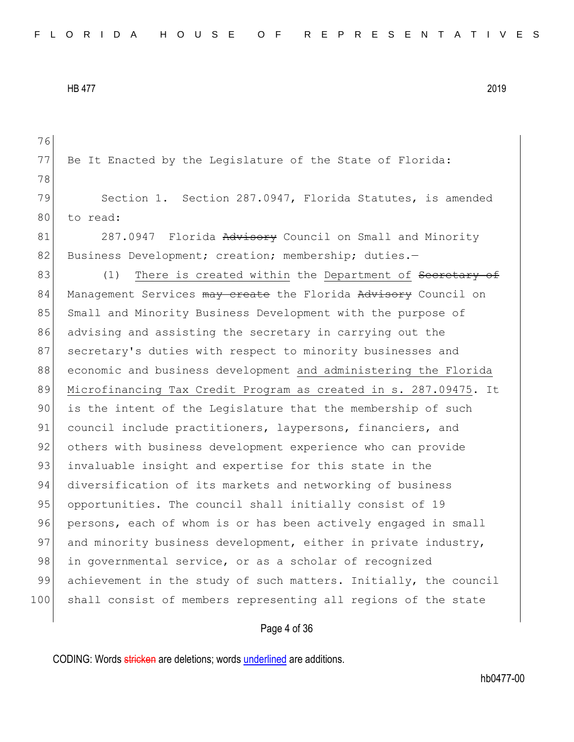76 77 Be It Enacted by the Legislature of the State of Florida: 78 79 Section 1. Section 287.0947, Florida Statutes, is amended 80 to read: 81 287.0947 Florida Advisory Council on Small and Minority 82 Business Development; creation; membership; duties.-83 (1) There is created within the Department of <del>Secretary of</del> 84 Management Services may create the Florida Advisory Council on 85 Small and Minority Business Development with the purpose of 86 advising and assisting the secretary in carrying out the 87 secretary's duties with respect to minority businesses and 88 economic and business development and administering the Florida 89 Microfinancing Tax Credit Program as created in s. 287.09475. It 90 is the intent of the Legislature that the membership of such 91 council include practitioners, laypersons, financiers, and 92 others with business development experience who can provide 93 invaluable insight and expertise for this state in the 94 diversification of its markets and networking of business 95 opportunities. The council shall initially consist of 19 96 persons, each of whom is or has been actively engaged in small 97 and minority business development, either in private industry, 98 in governmental service, or as a scholar of recognized 99 achievement in the study of such matters. Initially, the council 100 shall consist of members representing all regions of the state

Page 4 of 36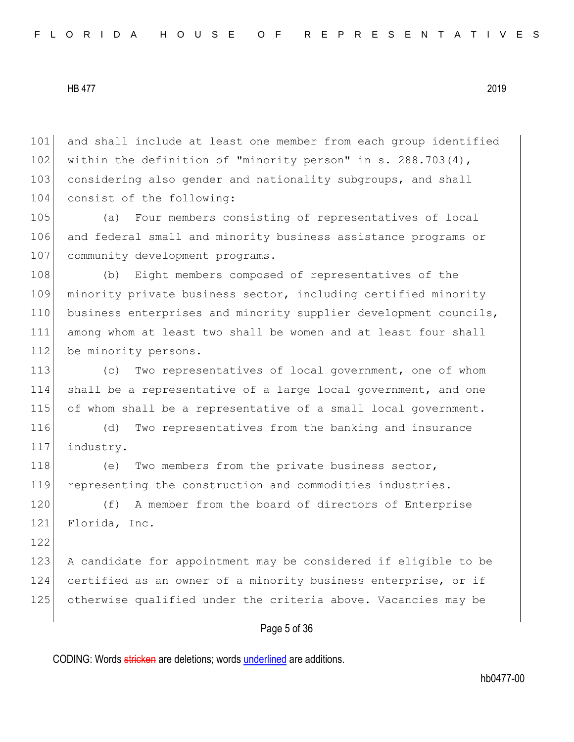101 and shall include at least one member from each group identified 102 within the definition of "minority person" in s. 288.703(4), 103 considering also gender and nationality subgroups, and shall 104 consist of the following:

105 (a) Four members consisting of representatives of local 106 and federal small and minority business assistance programs or 107 community development programs.

108 (b) Eight members composed of representatives of the 109 minority private business sector, including certified minority 110 business enterprises and minority supplier development councils, 111 among whom at least two shall be women and at least four shall 112 be minority persons.

113 (c) Two representatives of local government, one of whom 114 shall be a representative of a large local government, and one 115 of whom shall be a representative of a small local government.

116 (d) Two representatives from the banking and insurance 117 industry.

118 (e) Two members from the private business sector, 119 representing the construction and commodities industries.

120 (f) A member from the board of directors of Enterprise 121 Florida, Inc.

122

123 A candidate for appointment may be considered if eligible to be 124 certified as an owner of a minority business enterprise, or if 125 otherwise qualified under the criteria above. Vacancies may be

## Page 5 of 36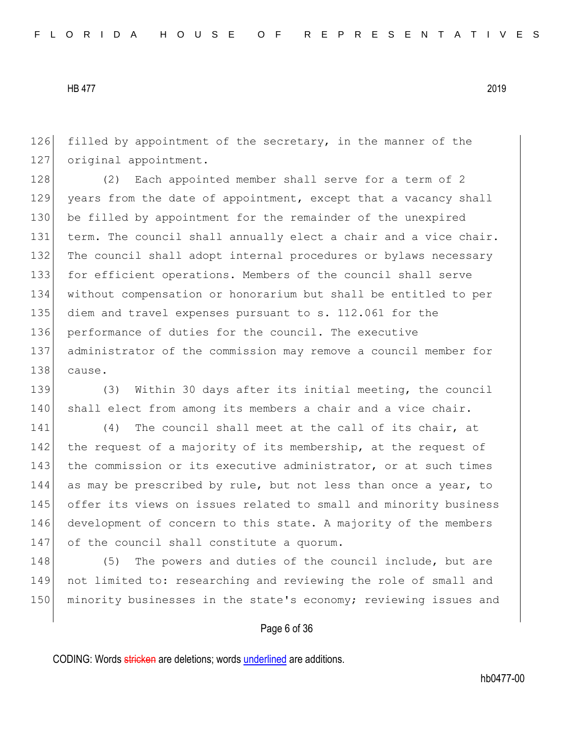126 filled by appointment of the secretary, in the manner of the 127 original appointment.

128 (2) Each appointed member shall serve for a term of 2 129 years from the date of appointment, except that a vacancy shall 130 be filled by appointment for the remainder of the unexpired 131 term. The council shall annually elect a chair and a vice chair. 132 The council shall adopt internal procedures or bylaws necessary 133 for efficient operations. Members of the council shall serve 134 without compensation or honorarium but shall be entitled to per 135 diem and travel expenses pursuant to s. 112.061 for the 136 performance of duties for the council. The executive 137 administrator of the commission may remove a council member for 138 cause.

139 (3) Within 30 days after its initial meeting, the council 140 shall elect from among its members a chair and a vice chair.

141 (4) The council shall meet at the call of its chair, at 142 the request of a majority of its membership, at the request of 143 the commission or its executive administrator, or at such times 144 as may be prescribed by rule, but not less than once a year, to 145 offer its views on issues related to small and minority business 146 development of concern to this state. A majority of the members 147 of the council shall constitute a quorum.

148 (5) The powers and duties of the council include, but are 149 not limited to: researching and reviewing the role of small and 150 minority businesses in the state's economy; reviewing issues and

#### Page 6 of 36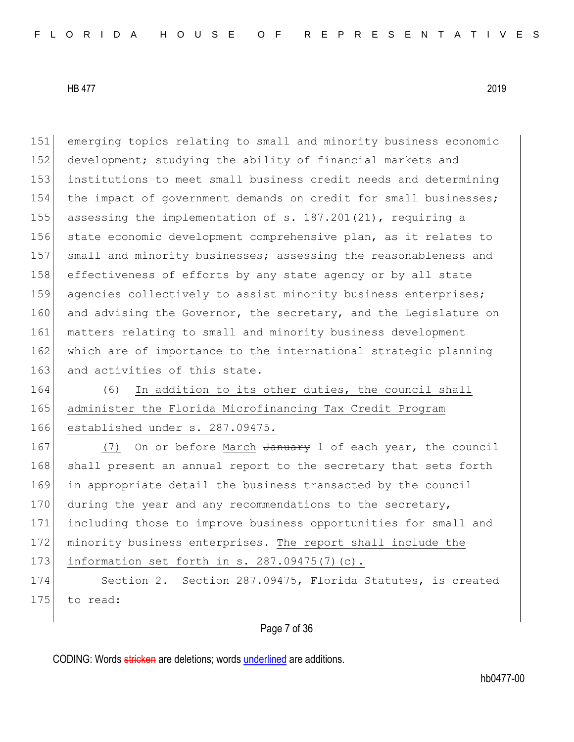151 emerging topics relating to small and minority business economic 152 development; studying the ability of financial markets and 153 institutions to meet small business credit needs and determining 154 the impact of government demands on credit for small businesses; 155 assessing the implementation of s.  $187.201(21)$ , requiring a 156 state economic development comprehensive plan, as it relates to 157 small and minority businesses; assessing the reasonableness and 158 effectiveness of efforts by any state agency or by all state 159 agencies collectively to assist minority business enterprises; 160 and advising the Governor, the secretary, and the Legislature on 161 matters relating to small and minority business development 162 which are of importance to the international strategic planning 163 and activities of this state.

164 (6) In addition to its other duties, the council shall 165 administer the Florida Microfinancing Tax Credit Program 166 established under s. 287.09475.

167 (7) On or before March January 1 of each year, the council 168 shall present an annual report to the secretary that sets forth 169 in appropriate detail the business transacted by the council 170 during the year and any recommendations to the secretary, 171 including those to improve business opportunities for small and 172 minority business enterprises. The report shall include the 173 information set forth in s.  $287.09475(7)(c)$ .

174 Section 2. Section 287.09475, Florida Statutes, is created 175 to read:

## Page 7 of 36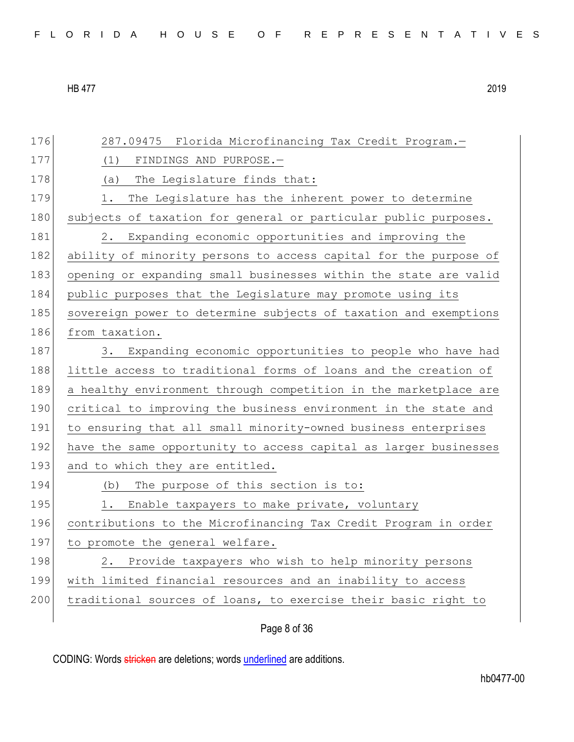|  |  |  |  |  |  |  |  |  |  |  | FLORIDA HOUSE OF REPRESENTATIVES |  |  |  |  |  |  |  |  |  |  |  |  |  |  |  |  |
|--|--|--|--|--|--|--|--|--|--|--|----------------------------------|--|--|--|--|--|--|--|--|--|--|--|--|--|--|--|--|
|--|--|--|--|--|--|--|--|--|--|--|----------------------------------|--|--|--|--|--|--|--|--|--|--|--|--|--|--|--|--|

| 176 | 287.09475 Florida Microfinancing Tax Credit Program.-            |
|-----|------------------------------------------------------------------|
| 177 | FINDINGS AND PURPOSE.-<br>(1)                                    |
| 178 | The Legislature finds that:<br>(a)                               |
| 179 | The Legislature has the inherent power to determine<br>1.        |
| 180 | subjects of taxation for general or particular public purposes.  |
| 181 | Expanding economic opportunities and improving the<br>2.         |
| 182 | ability of minority persons to access capital for the purpose of |
| 183 | opening or expanding small businesses within the state are valid |
| 184 | public purposes that the Legislature may promote using its       |
| 185 | sovereign power to determine subjects of taxation and exemptions |
| 186 | from taxation.                                                   |
| 187 | 3. Expanding economic opportunities to people who have had       |
| 188 | little access to traditional forms of loans and the creation of  |
| 189 | a healthy environment through competition in the marketplace are |
| 190 | critical to improving the business environment in the state and  |
| 191 | to ensuring that all small minority-owned business enterprises   |
| 192 | have the same opportunity to access capital as larger businesses |
| 193 | and to which they are entitled.                                  |
| 194 | The purpose of this section is to:<br>(b)                        |
| 195 | 1. Enable taxpayers to make private, voluntary                   |
| 196 | contributions to the Microfinancing Tax Credit Program in order  |
| 197 | to promote the general welfare.                                  |
| 198 | Provide taxpayers who wish to help minority persons<br>2.        |
| 199 | with limited financial resources and an inability to access      |
| 200 | traditional sources of loans, to exercise their basic right to   |
|     |                                                                  |

Page 8 of 36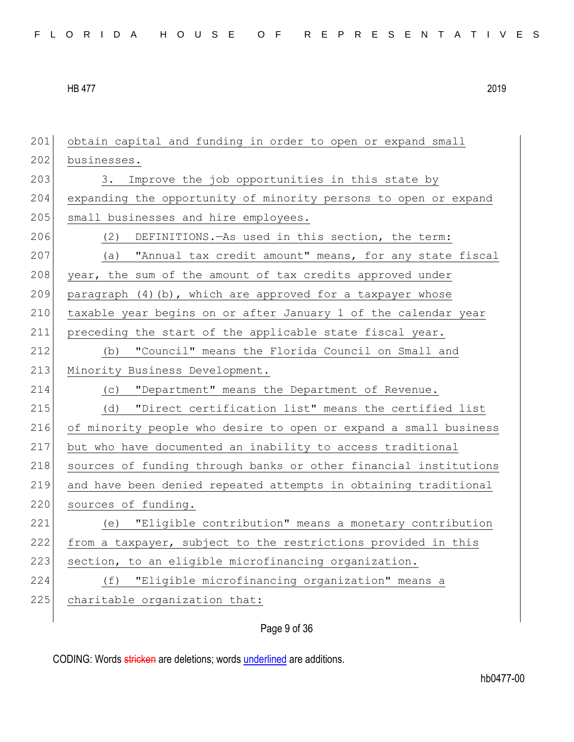201 obtain capital and funding in order to open or expand small 202 businesses. 203 3. Improve the job opportunities in this state by 204 expanding the opportunity of minority persons to open or expand 205 small businesses and hire employees. 206 (2) DEFINITIONS.—As used in this section, the term: 207 (a) "Annual tax credit amount" means, for any state fiscal 208 year, the sum of the amount of tax credits approved under 209 paragraph  $(4)(b)$ , which are approved for a taxpayer whose 210 taxable year begins on or after January 1 of the calendar year 211 preceding the start of the applicable state fiscal year. 212 (b) "Council" means the Florida Council on Small and 213 Minority Business Development. 214 (c) "Department" means the Department of Revenue. 215 (d) "Direct certification list" means the certified list 216 of minority people who desire to open or expand a small business 217 but who have documented an inability to access traditional 218 sources of funding through banks or other financial institutions 219 and have been denied repeated attempts in obtaining traditional 220 sources of funding. 221 (e) "Eligible contribution" means a monetary contribution 222 from a taxpayer, subject to the restrictions provided in this 223 section, to an eligible microfinancing organization. 224 (f) "Eligible microfinancing organization" means a  $225$  charitable organization that:

# Page 9 of 36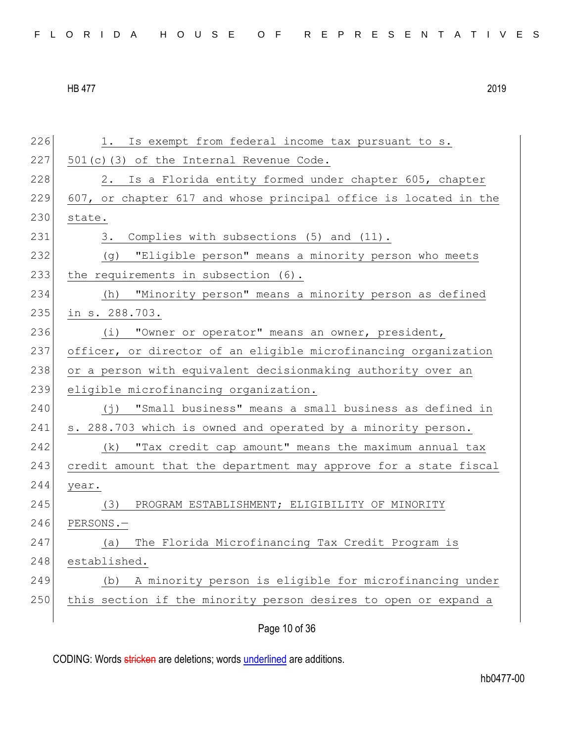| FLORIDA HOUSE OF REPRESENTATIVES |  |  |  |  |  |  |  |  |  |  |  |  |  |  |  |  |  |  |  |  |  |  |  |  |  |  |  |
|----------------------------------|--|--|--|--|--|--|--|--|--|--|--|--|--|--|--|--|--|--|--|--|--|--|--|--|--|--|--|
|----------------------------------|--|--|--|--|--|--|--|--|--|--|--|--|--|--|--|--|--|--|--|--|--|--|--|--|--|--|--|

226 1. Is exempt from federal income tax pursuant to s.

 $227$  501(c)(3) of the Internal Revenue Code.

HB 477 2019

228 201 2. Is a Florida entity formed under chapter 605, chapter 229 607, or chapter 617 and whose principal office is located in the 230 state. 231 3. Complies with subsections (5) and (11). 232 (g) "Eligible person" means a minority person who meets 233 the requirements in subsection (6). 234 (h) "Minority person" means a minority person as defined 235 in s. 288.703. 236 (i) "Owner or operator" means an owner, president, 237 officer, or director of an eligible microfinancing organization 238 or a person with equivalent decisionmaking authority over an 239 eligible microfinancing organization. 240 (j) "Small business" means a small business as defined in 241 s. 288.703 which is owned and operated by a minority person. 242 (k) "Tax credit cap amount" means the maximum annual tax 243 credit amount that the department may approve for a state fiscal 244 year. 245 (3) PROGRAM ESTABLISHMENT; ELIGIBILITY OF MINORITY 246 PERSONS.-

247 (a) The Florida Microfinancing Tax Credit Program is 248 established. 249 (b) A minority person is eligible for microfinancing under 250 this section if the minority person desires to open or expand a

Page 10 of 36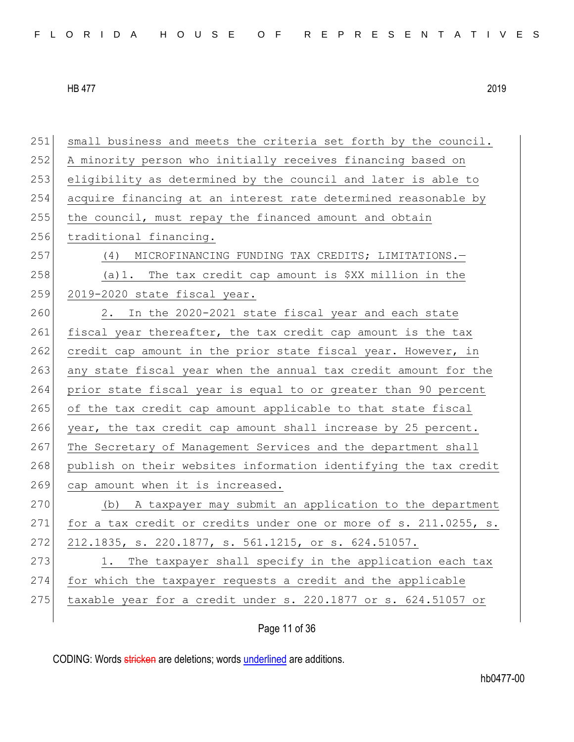251 small business and meets the criteria set forth by the council. 252 A minority person who initially receives financing based on 253 eligibility as determined by the council and later is able to 254 acquire financing at an interest rate determined reasonable by 255 the council, must repay the financed amount and obtain 256 traditional financing. 257 (4) MICROFINANCING FUNDING TAX CREDITS; LIMITATIONS.  $258$  (a)1. The tax credit cap amount is \$XX million in the 259 2019-2020 state fiscal year. 260 2. In the 2020-2021 state fiscal year and each state 261 fiscal year thereafter, the tax credit cap amount is the tax 262 credit cap amount in the prior state fiscal year. However, in 263 any state fiscal year when the annual tax credit amount for the 264 prior state fiscal year is equal to or greater than 90 percent 265 of the tax credit cap amount applicable to that state fiscal 266 year, the tax credit cap amount shall increase by 25 percent. 267 The Secretary of Management Services and the department shall 268 publish on their websites information identifying the tax credit 269 cap amount when it is increased. 270 (b) A taxpayer may submit an application to the department 271 for a tax credit or credits under one or more of s. 211.0255, s. 272 212.1835, s. 220.1877, s. 561.1215, or s. 624.51057. 273 1. The taxpayer shall specify in the application each tax 274 for which the taxpayer requests a credit and the applicable 275 taxable year for a credit under s. 220.1877 or s.  $624.51057$  or

Page 11 of 36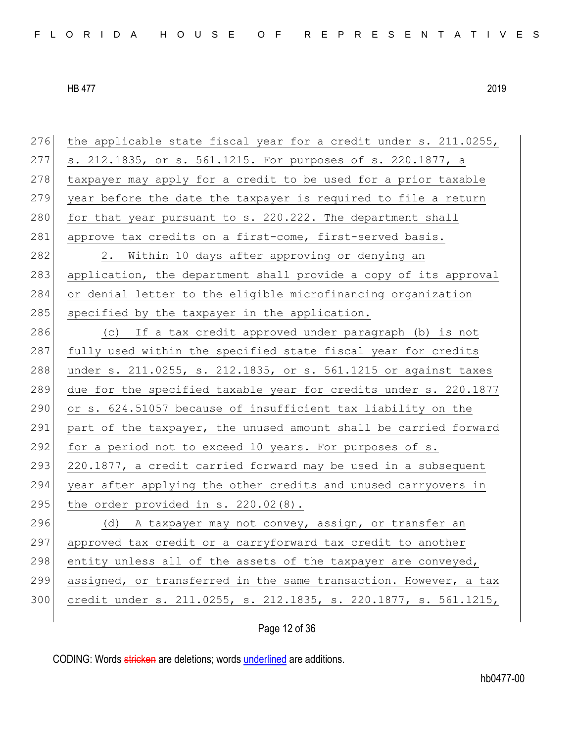| 276 | the applicable state fiscal year for a credit under s. 211.0255, |
|-----|------------------------------------------------------------------|
| 277 | s. 212.1835, or s. 561.1215. For purposes of s. 220.1877, a      |
| 278 | taxpayer may apply for a credit to be used for a prior taxable   |
| 279 | year before the date the taxpayer is required to file a return   |
| 280 | for that year pursuant to s. 220.222. The department shall       |
| 281 | approve tax credits on a first-come, first-served basis.         |
| 282 | 2. Within 10 days after approving or denying an                  |
| 283 | application, the department shall provide a copy of its approval |
| 284 | or denial letter to the eligible microfinancing organization     |
| 285 | specified by the taxpayer in the application.                    |
| 286 | (c) If a tax credit approved under paragraph (b) is not          |
| 287 | fully used within the specified state fiscal year for credits    |
| 288 | under s. 211.0255, s. 212.1835, or s. 561.1215 or against taxes  |
| 289 | due for the specified taxable year for credits under s. 220.1877 |
| 290 | or s. 624.51057 because of insufficient tax liability on the     |
| 291 | part of the taxpayer, the unused amount shall be carried forward |
| 292 | for a period not to exceed 10 years. For purposes of s.          |
| 293 | 220.1877, a credit carried forward may be used in a subsequent   |
| 294 | year after applying the other credits and unused carryovers in   |
| 295 | the order provided in $s. 220.02(8)$ .                           |
| 296 | (d) A taxpayer may not convey, assign, or transfer an            |
| 297 | approved tax credit or a carryforward tax credit to another      |
| 298 | entity unless all of the assets of the taxpayer are conveyed,    |
| 299 | assigned, or transferred in the same transaction. However, a tax |
| 300 | credit under s. 211.0255, s. 212.1835, s. 220.1877, s. 561.1215, |
|     |                                                                  |

Page 12 of 36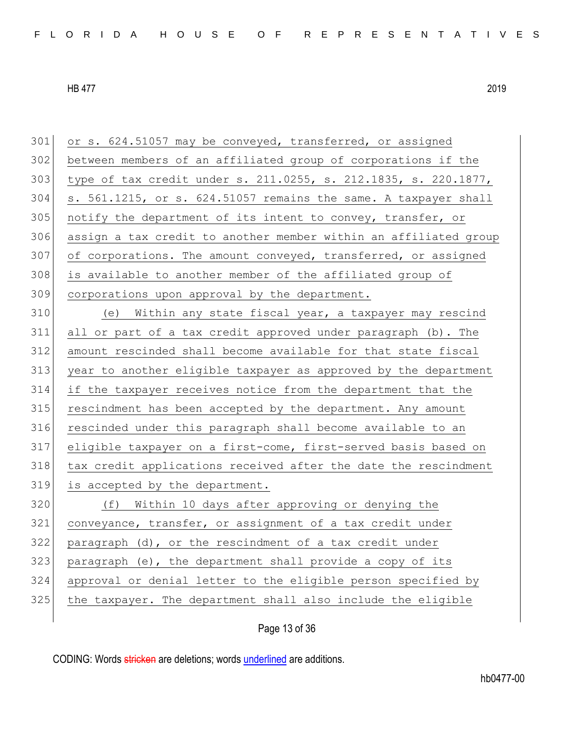301 or s. 624.51057 may be conveyed, transferred, or assigned between members of an affiliated group of corporations if the type of tax credit under s. 211.0255, s. 212.1835, s. 220.1877, s. 561.1215, or s. 624.51057 remains the same. A taxpayer shall notify the department of its intent to convey, transfer, or assign a tax credit to another member within an affiliated group of corporations. The amount conveyed, transferred, or assigned 308 is available to another member of the affiliated group of corporations upon approval by the department. (e) Within any state fiscal year, a taxpayer may rescind all or part of a tax credit approved under paragraph (b). The amount rescinded shall become available for that state fiscal year to another eligible taxpayer as approved by the department if the taxpayer receives notice from the department that the rescindment has been accepted by the department. Any amount rescinded under this paragraph shall become available to an eligible taxpayer on a first-come, first-served basis based on tax credit applications received after the date the rescindment is accepted by the department. (f) Within 10 days after approving or denying the conveyance, transfer, or assignment of a tax credit under paragraph (d), or the rescindment of a tax credit under paragraph (e), the department shall provide a copy of its approval or denial letter to the eligible person specified by the taxpayer. The department shall also include the eligible

Page 13 of 36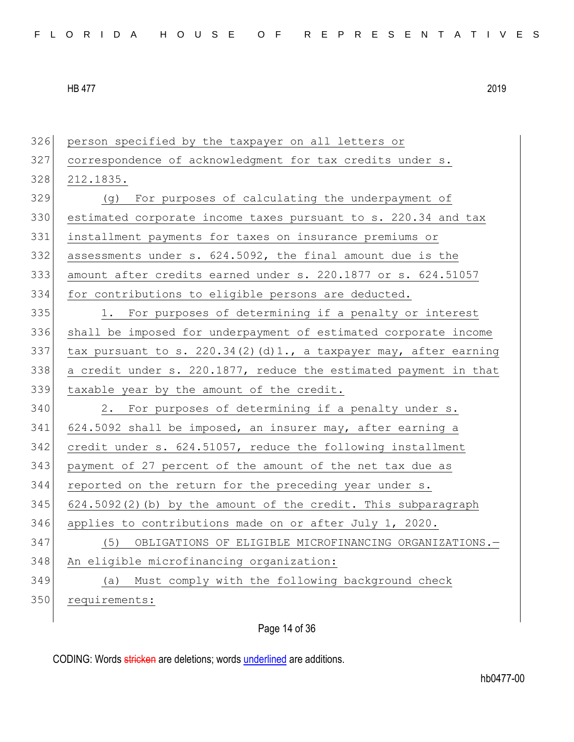person specified by the taxpayer on all letters or correspondence of acknowledgment for tax credits under s. 212.1835. 329 (g) For purposes of calculating the underpayment of estimated corporate income taxes pursuant to s. 220.34 and tax installment payments for taxes on insurance premiums or assessments under s. 624.5092, the final amount due is the amount after credits earned under s. 220.1877 or s. 624.51057 334 for contributions to eligible persons are deducted. 335 1. For purposes of determining if a penalty or interest shall be imposed for underpayment of estimated corporate income 337 tax pursuant to s. 220.34(2)(d)1., a taxpayer may, after earning a credit under s. 220.1877, reduce the estimated payment in that taxable year by the amount of the credit. 340 2. For purposes of determining if a penalty under s. 624.5092 shall be imposed, an insurer may, after earning a credit under s. 624.51057, reduce the following installment payment of 27 percent of the amount of the net tax due as 344 reported on the return for the preceding year under s. 624.5092(2)(b) by the amount of the credit. This subparagraph applies to contributions made on or after July 1, 2020. (5) OBLIGATIONS OF ELIGIBLE MICROFINANCING ORGANIZATIONS.— 348 An eligible microfinancing organization: (a) Must comply with the following background check requirements:

Page 14 of 36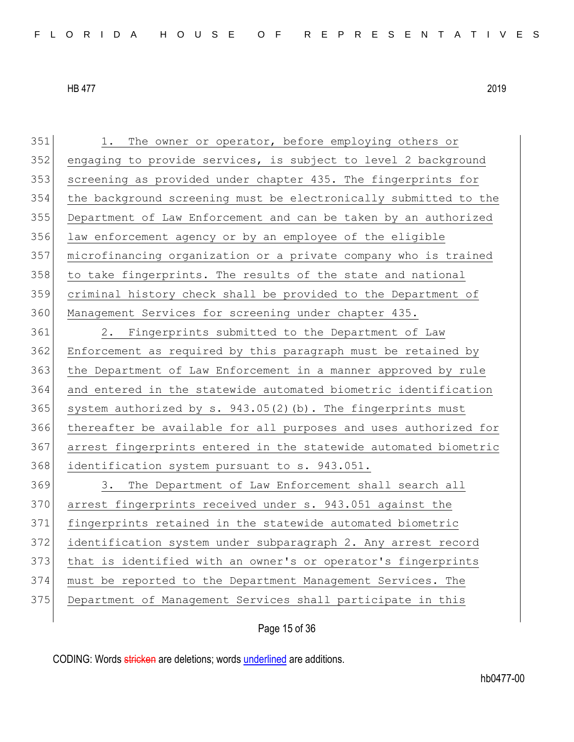351 1. The owner or operator, before employing others or engaging to provide services, is subject to level 2 background screening as provided under chapter 435. The fingerprints for the background screening must be electronically submitted to the Department of Law Enforcement and can be taken by an authorized 356 law enforcement agency or by an employee of the eligible microfinancing organization or a private company who is trained 358 to take fingerprints. The results of the state and national criminal history check shall be provided to the Department of Management Services for screening under chapter 435.

 2. Fingerprints submitted to the Department of Law 362 Enforcement as required by this paragraph must be retained by 363 the Department of Law Enforcement in a manner approved by rule and entered in the statewide automated biometric identification 365 system authorized by s.  $943.05(2)$  (b). The fingerprints must thereafter be available for all purposes and uses authorized for arrest fingerprints entered in the statewide automated biometric identification system pursuant to s. 943.051.

 3. The Department of Law Enforcement shall search all 370 arrest fingerprints received under s. 943.051 against the fingerprints retained in the statewide automated biometric 372 identification system under subparagraph 2. Any arrest record that is identified with an owner's or operator's fingerprints must be reported to the Department Management Services. The Department of Management Services shall participate in this

Page 15 of 36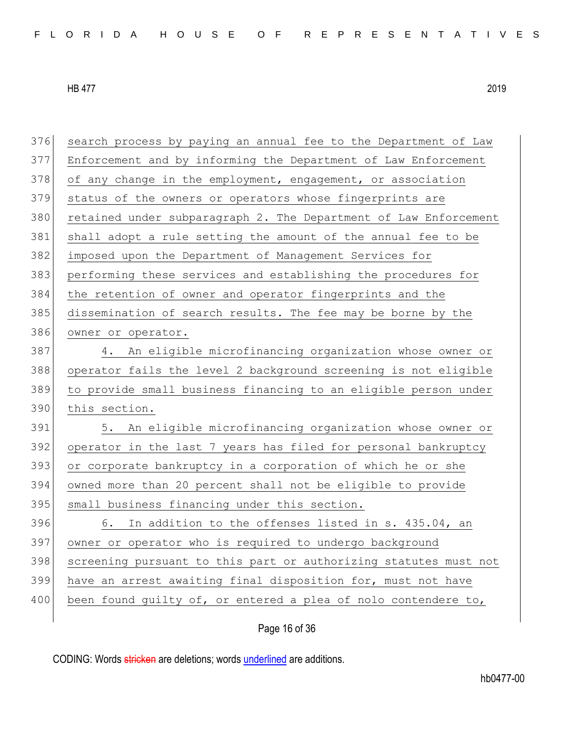search process by paying an annual fee to the Department of Law Enforcement and by informing the Department of Law Enforcement 378 of any change in the employment, engagement, or association status of the owners or operators whose fingerprints are 380 retained under subparagraph 2. The Department of Law Enforcement shall adopt a rule setting the amount of the annual fee to be imposed upon the Department of Management Services for performing these services and establishing the procedures for the retention of owner and operator fingerprints and the dissemination of search results. The fee may be borne by the owner or operator. 4. An eligible microfinancing organization whose owner or operator fails the level 2 background screening is not eligible to provide small business financing to an eligible person under this section. 5. An eligible microfinancing organization whose owner or operator in the last 7 years has filed for personal bankruptcy 393 or corporate bankruptcy in a corporation of which he or she owned more than 20 percent shall not be eligible to provide 395 small business financing under this section. 396 6. In addition to the offenses listed in s. 435.04, an owner or operator who is required to undergo background screening pursuant to this part or authorizing statutes must not have an arrest awaiting final disposition for, must not have 400 been found quilty of, or entered a plea of nolo contendere to,

# Page 16 of 36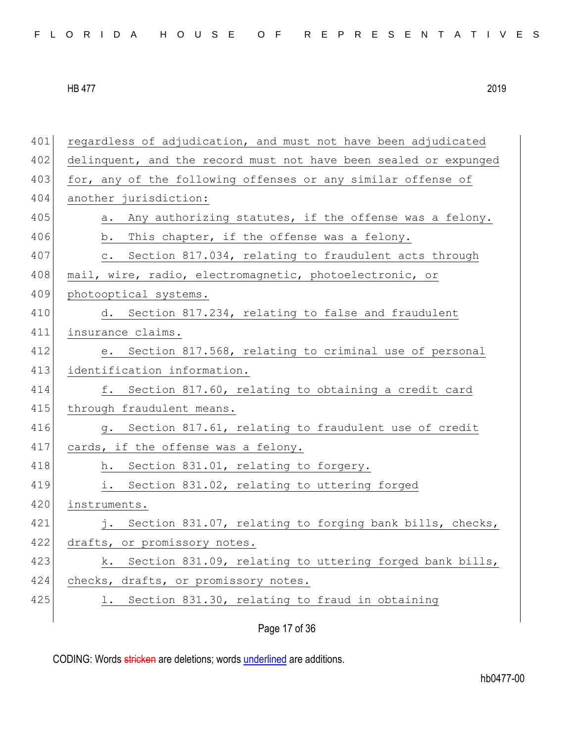|  |  |  |  |  | FLORIDA HOUSE OF REPRESENTATIVES |  |
|--|--|--|--|--|----------------------------------|--|
|--|--|--|--|--|----------------------------------|--|

| 401 | regardless of adjudication, and must not have been adjudicated    |
|-----|-------------------------------------------------------------------|
| 402 | delinquent, and the record must not have been sealed or expunged  |
| 403 | for, any of the following offenses or any similar offense of      |
| 404 | another jurisdiction:                                             |
| 405 | a. Any authorizing statutes, if the offense was a felony.         |
| 406 | b. This chapter, if the offense was a felony.                     |
| 407 | Section 817.034, relating to fraudulent acts through<br>$\circ$ . |
| 408 | mail, wire, radio, electromagnetic, photoelectronic, or           |
| 409 | photooptical systems.                                             |
| 410 | d. Section 817.234, relating to false and fraudulent              |
| 411 | insurance claims.                                                 |
| 412 | e. Section 817.568, relating to criminal use of personal          |
| 413 | identification information.                                       |
| 414 | f. Section 817.60, relating to obtaining a credit card            |
| 415 | through fraudulent means.                                         |
| 416 | g. Section 817.61, relating to fraudulent use of credit           |
| 417 | cards, if the offense was a felony.                               |
| 418 | h. Section 831.01, relating to forgery.                           |
| 419 | i.<br>Section 831.02, relating to uttering forged                 |
| 420 | instruments.                                                      |
| 421 | j. Section 831.07, relating to forging bank bills, checks,        |
| 422 | drafts, or promissory notes.                                      |
| 423 | Section 831.09, relating to uttering forged bank bills,<br>k.     |
| 424 | checks,<br>drafts, or promissory notes.                           |
| 425 | Section 831.30, relating to fraud in obtaining<br>$\perp$ .       |
|     |                                                                   |

Page 17 of 36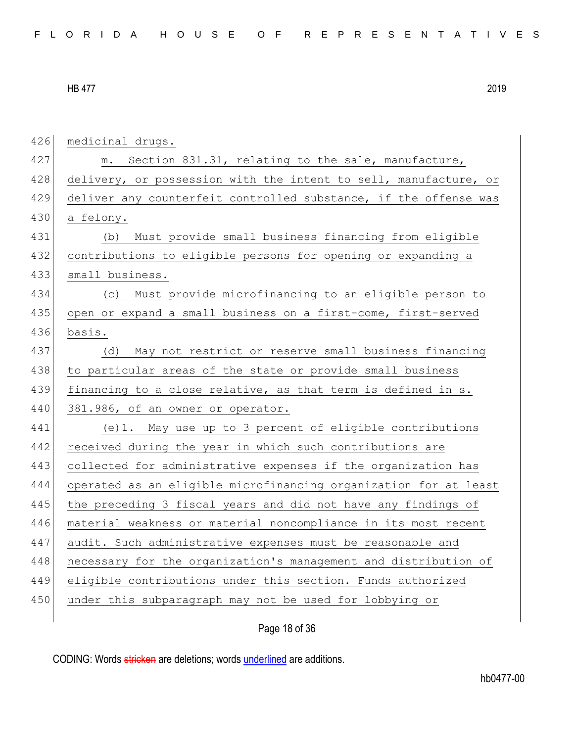| 426 | medicinal drugs.                                                 |
|-----|------------------------------------------------------------------|
| 427 | m. Section 831.31, relating to the sale, manufacture,            |
| 428 | delivery, or possession with the intent to sell, manufacture, or |
| 429 | deliver any counterfeit controlled substance, if the offense was |
| 430 | a felony.                                                        |
| 431 | Must provide small business financing from eligible<br>(b)       |
| 432 | contributions to eligible persons for opening or expanding a     |
| 433 | small business.                                                  |
| 434 | (c) Must provide microfinancing to an eligible person to         |
| 435 | open or expand a small business on a first-come, first-served    |
| 436 | basis.                                                           |
| 437 | May not restrict or reserve small business financing<br>(d)      |
| 438 | to particular areas of the state or provide small business       |
| 439 | financing to a close relative, as that term is defined in s.     |
| 440 | 381.986, of an owner or operator.                                |
| 441 | (e) 1. May use up to 3 percent of eligible contributions         |
| 442 | received during the year in which such contributions are         |
| 443 | collected for administrative expenses if the organization has    |
| 444 | operated as an eligible microfinancing organization for at least |
| 445 | the preceding 3 fiscal years and did not have any findings of    |
| 446 | material weakness or material noncompliance in its most recent   |
| 447 | audit. Such administrative expenses must be reasonable and       |
| 448 | necessary for the organization's management and distribution of  |
| 449 | eligible contributions under this section. Funds authorized      |
| 450 | under this subparagraph may not be used for lobbying or          |
|     |                                                                  |

Page 18 of 36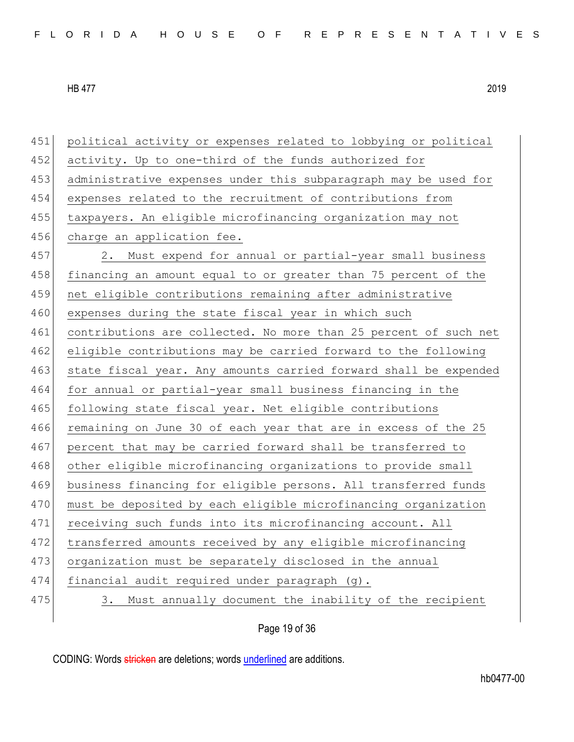451 political activity or expenses related to lobbying or political 452 activity. Up to one-third of the funds authorized for 453 administrative expenses under this subparagraph may be used for 454 expenses related to the recruitment of contributions from 455 taxpayers. An eligible microfinancing organization may not 456 charge an application fee. 457 2. Must expend for annual or partial-year small business 458 financing an amount equal to or greater than 75 percent of the 459 net eligible contributions remaining after administrative 460 expenses during the state fiscal year in which such 461 contributions are collected. No more than 25 percent of such net 462 eligible contributions may be carried forward to the following 463 state fiscal year. Any amounts carried forward shall be expended 464 for annual or partial-year small business financing in the 465 following state fiscal year. Net eligible contributions 466 remaining on June 30 of each year that are in excess of the 25 467 percent that may be carried forward shall be transferred to 468 other eligible microfinancing organizations to provide small 469 business financing for eligible persons. All transferred funds 470 must be deposited by each eligible microfinancing organization 471 receiving such funds into its microfinancing account. All 472 transferred amounts received by any eligible microfinancing 473 organization must be separately disclosed in the annual 474 financial audit required under paragraph (g). 475 3. Must annually document the inability of the recipient

Page 19 of 36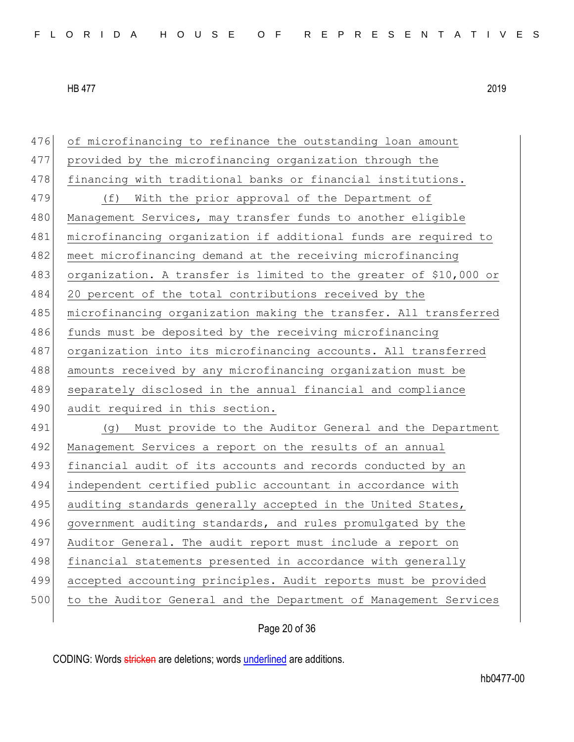| 476 | of microfinancing to refinance the outstanding loan amount        |
|-----|-------------------------------------------------------------------|
| 477 | provided by the microfinancing organization through the           |
| 478 | financing with traditional banks or financial institutions.       |
| 479 | With the prior approval of the Department of<br>(f)               |
| 480 | Management Services, may transfer funds to another eligible       |
| 481 | microfinancing organization if additional funds are required to   |
| 482 | meet microfinancing demand at the receiving microfinancing        |
| 483 | organization. A transfer is limited to the greater of \$10,000 or |
| 484 | 20 percent of the total contributions received by the             |
| 485 | microfinancing organization making the transfer. All transferred  |
| 486 | funds must be deposited by the receiving microfinancing           |
| 487 | organization into its microfinancing accounts. All transferred    |
| 488 | amounts received by any microfinancing organization must be       |
|     |                                                                   |
| 489 | separately disclosed in the annual financial and compliance       |
| 490 | audit required in this section.                                   |
| 491 | Must provide to the Auditor General and the Department<br>(q)     |
| 492 | Management Services a report on the results of an annual          |
| 493 | financial audit of its accounts and records conducted by an       |
| 494 | independent certified public accountant in accordance with        |
| 495 | auditing standards generally accepted in the United States,       |
| 496 | government auditing standards, and rules promulgated by the       |
| 497 | Auditor General. The audit report must include a report on        |
| 498 | financial statements presented in accordance with generally       |
| 499 | accepted accounting principles. Audit reports must be provided    |
| 500 | to the Auditor General and the Department of Management Services  |

Page 20 of 36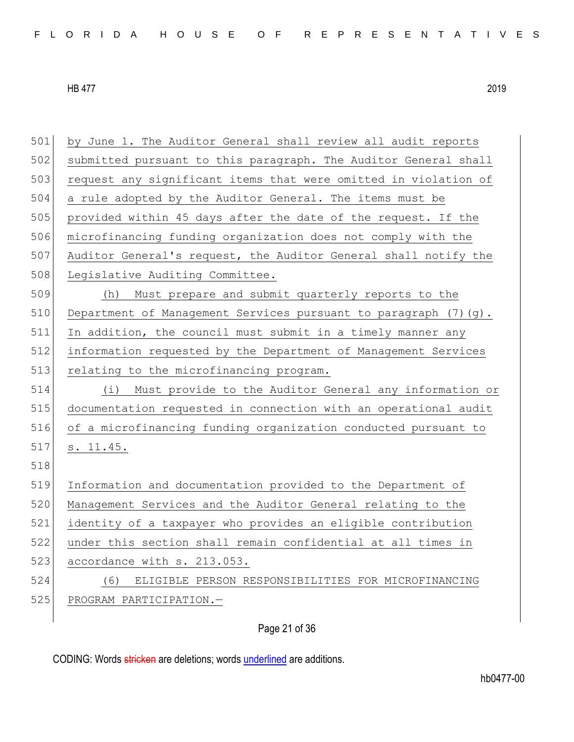by June 1. The Auditor General shall review all audit reports 502 submitted pursuant to this paragraph. The Auditor General shall 503 request any significant items that were omitted in violation of a rule adopted by the Auditor General. The items must be provided within 45 days after the date of the request. If the microfinancing funding organization does not comply with the Auditor General's request, the Auditor General shall notify the 508 Legislative Auditing Committee. (h) Must prepare and submit quarterly reports to the 510 Department of Management Services pursuant to paragraph  $(7)(q)$ . In addition, the council must submit in a timely manner any information requested by the Department of Management Services 513 relating to the microfinancing program. (i) Must provide to the Auditor General any information or documentation requested in connection with an operational audit of a microfinancing funding organization conducted pursuant to s. 11.45. 518 Information and documentation provided to the Department of Management Services and the Auditor General relating to the identity of a taxpayer who provides an eligible contribution under this section shall remain confidential at all times in 523 accordance with s. 213.053. (6) ELIGIBLE PERSON RESPONSIBILITIES FOR MICROFINANCING 525 PROGRAM PARTICIPATION.-

Page 21 of 36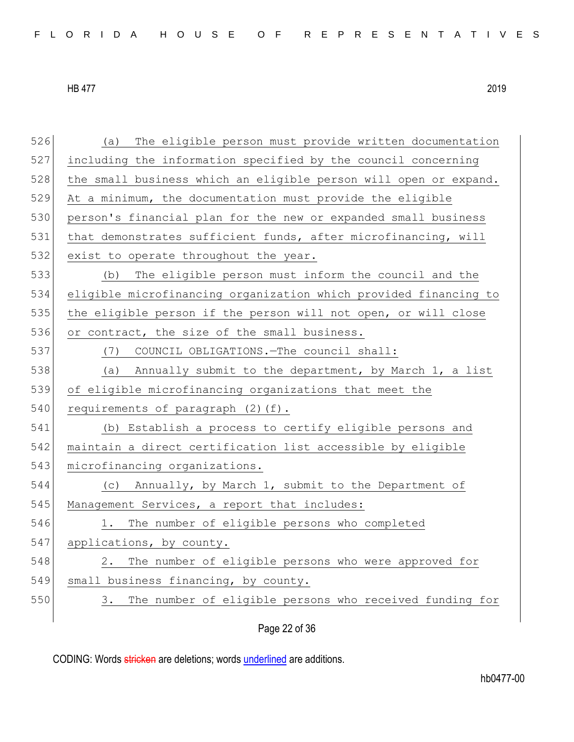526 (a) The eligible person must provide written documentation 527 including the information specified by the council concerning 528 the small business which an eligible person will open or expand. 529 At a minimum, the documentation must provide the eligible 530 person's financial plan for the new or expanded small business 531 that demonstrates sufficient funds, after microfinancing, will 532 exist to operate throughout the year. 533 (b) The eligible person must inform the council and the 534 eligible microfinancing organization which provided financing to 535 the eligible person if the person will not open, or will close 536 or contract, the size of the small business. 537 (7) COUNCIL OBLIGATIONS.—The council shall: 538 (a) Annually submit to the department, by March 1, a list 539 of eligible microfinancing organizations that meet the 540 requirements of paragraph  $(2)$  (f). 541 (b) Establish a process to certify eligible persons and 542 maintain a direct certification list accessible by eligible 543 microfinancing organizations. 544 (c) Annually, by March 1, submit to the Department of 545 Management Services, a report that includes: 546 1. The number of eligible persons who completed 547 applications, by county. 548 2. The number of eligible persons who were approved for 549 small business financing, by county. 550 3. The number of eligible persons who received funding for

Page 22 of 36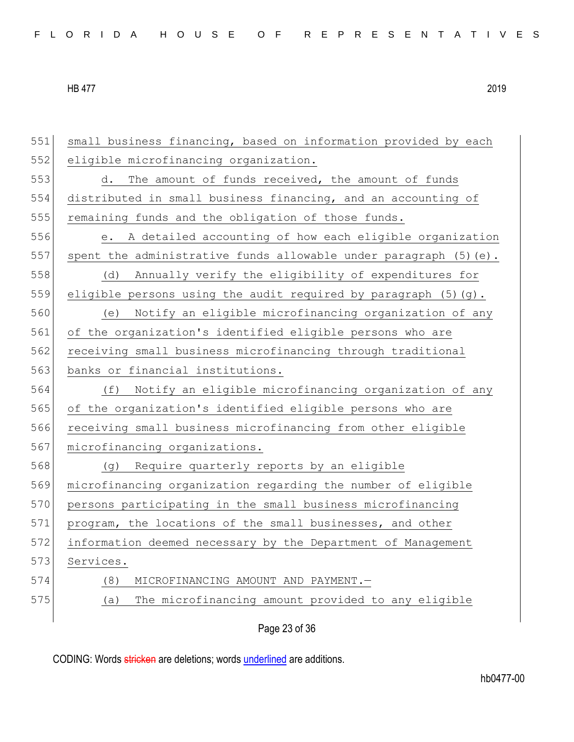| 551 | small business financing, based on information provided by each   |
|-----|-------------------------------------------------------------------|
| 552 | eligible microfinancing organization.                             |
| 553 | The amount of funds received, the amount of funds<br>d.           |
| 554 | distributed in small business financing, and an accounting of     |
| 555 | remaining funds and the obligation of those funds.                |
| 556 | e. A detailed accounting of how each eligible organization        |
| 557 | spent the administrative funds allowable under paragraph (5) (e). |
| 558 | Annually verify the eligibility of expenditures for<br>(d)        |
| 559 | eligible persons using the audit required by paragraph (5) (g).   |
| 560 | Notify an eligible microfinancing organization of any<br>(e)      |
| 561 | of the organization's identified eligible persons who are         |
| 562 | receiving small business microfinancing through traditional       |
| 563 | banks or financial institutions.                                  |
| 564 | Notify an eligible microfinancing organization of any<br>(f)      |
| 565 | of the organization's identified eligible persons who are         |
| 566 | receiving small business microfinancing from other eligible       |
| 567 | microfinancing organizations.                                     |
| 568 | Require quarterly reports by an eligible<br>(q)                   |
| 569 | microfinancing organization regarding the number of eligible      |
| 570 | persons participating in the small business microfinancing        |
| 571 | program, the locations of the small businesses, and other         |
| 572 | information deemed necessary by the Department of Management      |
| 573 | Services.                                                         |
| 574 | MICROFINANCING AMOUNT AND PAYMENT.-<br>(8)                        |
| 575 | The microfinancing amount provided to any eligible<br>(a)         |
|     |                                                                   |

Page 23 of 36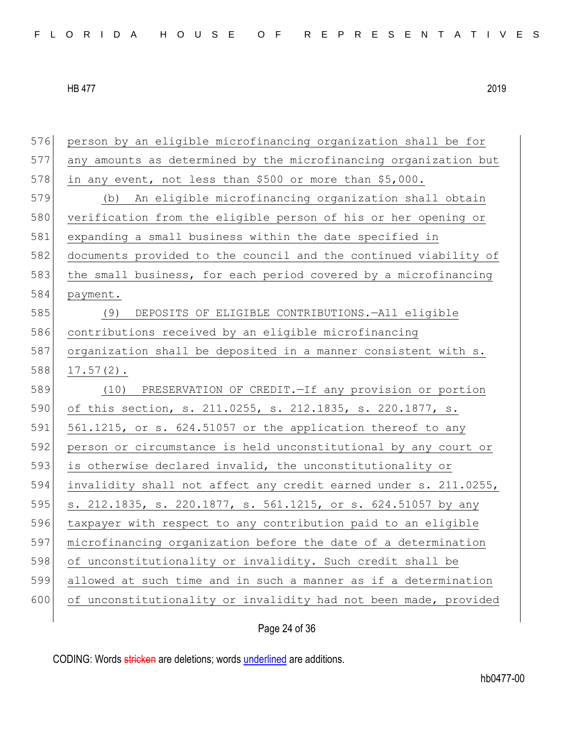| 576 | person by an eligible microfinancing organization shall be for   |
|-----|------------------------------------------------------------------|
| 577 | any amounts as determined by the microfinancing organization but |
| 578 | in any event, not less than \$500 or more than \$5,000.          |
| 579 | An eligible microfinancing organization shall obtain<br>(b)      |
| 580 | verification from the eligible person of his or her opening or   |
| 581 | expanding a small business within the date specified in          |
| 582 | documents provided to the council and the continued viability of |
| 583 | the small business, for each period covered by a microfinancing  |
| 584 | payment.                                                         |
| 585 | DEPOSITS OF ELIGIBLE CONTRIBUTIONS.-All eligible<br>(9)          |
| 586 | contributions received by an eligible microfinancing             |
| 587 | organization shall be deposited in a manner consistent with s.   |
| 588 | $17.57(2)$ .                                                     |
| 589 | (10) PRESERVATION OF CREDIT. - If any provision or portion       |
| 590 | of this section, s. 211.0255, s. 212.1835, s. 220.1877, s.       |
|     |                                                                  |
| 591 | 561.1215, or s. 624.51057 or the application thereof to any      |
| 592 | person or circumstance is held unconstitutional by any court or  |
| 593 | is otherwise declared invalid, the unconstitutionality or        |
| 594 | invalidity shall not affect any credit earned under s. 211.0255, |
| 595 | s. 212.1835, s. 220.1877, s. 561.1215, or s. 624.51057 by any    |
| 596 | taxpayer with respect to any contribution paid to an eligible    |
| 597 | microfinancing organization before the date of a determination   |
| 598 | of unconstitutionality or invalidity. Such credit shall be       |
| 599 | allowed at such time and in such a manner as if a determination  |
| 600 | of unconstitutionality or invalidity had not been made, provided |

Page 24 of 36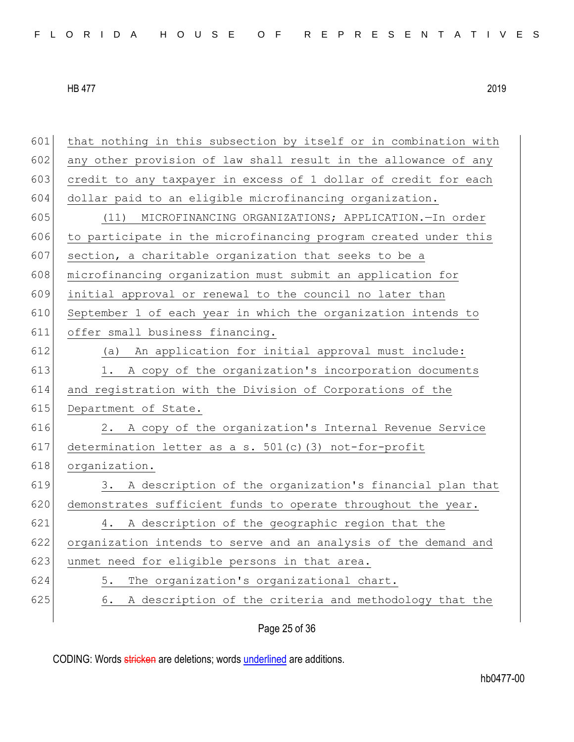601 that nothing in this subsection by itself or in combination with 602 any other provision of law shall result in the allowance of any credit to any taxpayer in excess of 1 dollar of credit for each dollar paid to an eligible microfinancing organization. (11) MICROFINANCING ORGANIZATIONS; APPLICATION.—In order 606 to participate in the microfinancing program created under this section, a charitable organization that seeks to be a 608 microfinancing organization must submit an application for initial approval or renewal to the council no later than September 1 of each year in which the organization intends to offer small business financing. (a) An application for initial approval must include: 613 1. A copy of the organization's incorporation documents and registration with the Division of Corporations of the 615 Department of State. 2. A copy of the organization's Internal Revenue Service 617 determination letter as a s.  $501(c)$  (3) not-for-profit organization. 3. A description of the organization's financial plan that 620 demonstrates sufficient funds to operate throughout the year. 4. A description of the geographic region that the organization intends to serve and an analysis of the demand and 623 unmet need for eligible persons in that area. 5. The organization's organizational chart. 6. A description of the criteria and methodology that the

Page 25 of 36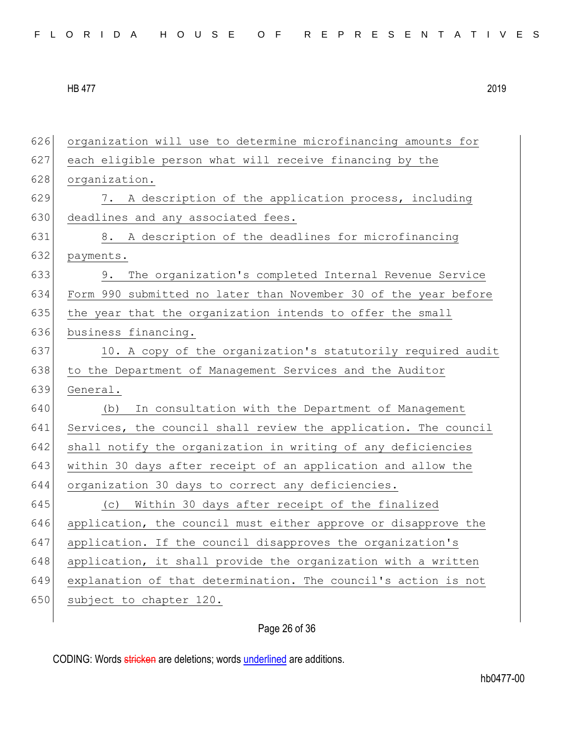|  |  |  |  |  |  |  |  | FLORIDA HOUSE OF REPRESENTATIVES |
|--|--|--|--|--|--|--|--|----------------------------------|
|--|--|--|--|--|--|--|--|----------------------------------|

 organization will use to determine microfinancing amounts for 627 each eligible person what will receive financing by the organization. 7. A description of the application process, including 630 deadlines and any associated fees. 631 8. A description of the deadlines for microfinancing payments. 9. The organization's completed Internal Revenue Service Form 990 submitted no later than November 30 of the year before 635 the year that the organization intends to offer the small business financing. 637 10. A copy of the organization's statutorily required audit 638 to the Department of Management Services and the Auditor 639 General. (b) In consultation with the Department of Management 641 Services, the council shall review the application. The council shall notify the organization in writing of any deficiencies within 30 days after receipt of an application and allow the organization 30 days to correct any deficiencies. (c) Within 30 days after receipt of the finalized application, the council must either approve or disapprove the application. If the council disapproves the organization's application, it shall provide the organization with a written explanation of that determination. The council's action is not subject to chapter 120.

# Page 26 of 36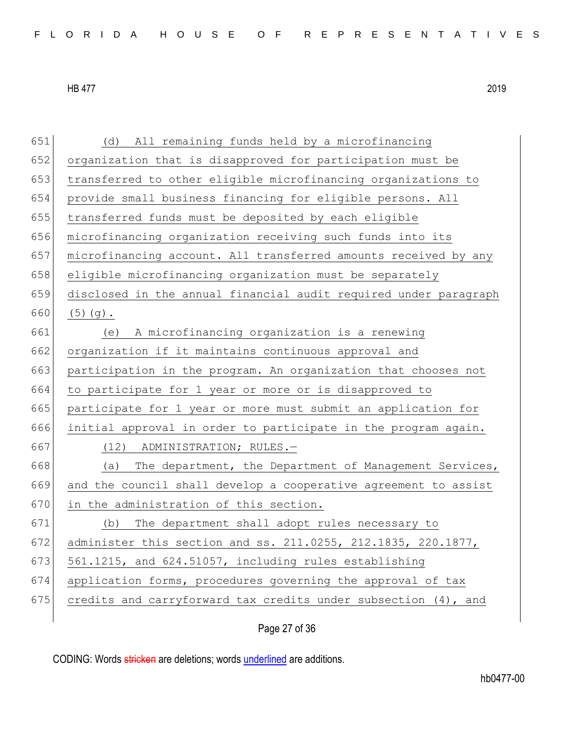| 651 | All remaining funds held by a microfinancing<br>(d)              |
|-----|------------------------------------------------------------------|
| 652 | organization that is disapproved for participation must be       |
| 653 | transferred to other eligible microfinancing organizations to    |
| 654 | provide small business financing for eligible persons. All       |
| 655 | transferred funds must be deposited by each eligible             |
| 656 | microfinancing organization receiving such funds into its        |
| 657 | microfinancing account. All transferred amounts received by any  |
| 658 | eligible microfinancing organization must be separately          |
| 659 | disclosed in the annual financial audit required under paragraph |
| 660 | $(5)(g)$ .                                                       |
| 661 | A microfinancing organization is a renewing<br>(e)               |
| 662 | organization if it maintains continuous approval and             |
| 663 | participation in the program. An organization that chooses not   |
| 664 | to participate for 1 year or more or is disapproved to           |
| 665 | participate for 1 year or more must submit an application for    |
| 666 | initial approval in order to participate in the program again.   |
| 667 | (12) ADMINISTRATION; RULES.-                                     |
| 668 | The department, the Department of Management Services,<br>(a)    |
| 669 | and the council shall develop a cooperative agreement to assist  |
| 670 | in the administration of this section.                           |
| 671 | The department shall adopt rules necessary to<br>(b)             |
| 672 | administer this section and ss. 211.0255, 212.1835, 220.1877,    |
| 673 | 561.1215, and 624.51057, including rules establishing            |
| 674 | application forms, procedures governing the approval of tax      |
| 675 | credits and carryforward tax credits under subsection (4), and   |
|     |                                                                  |

Page 27 of 36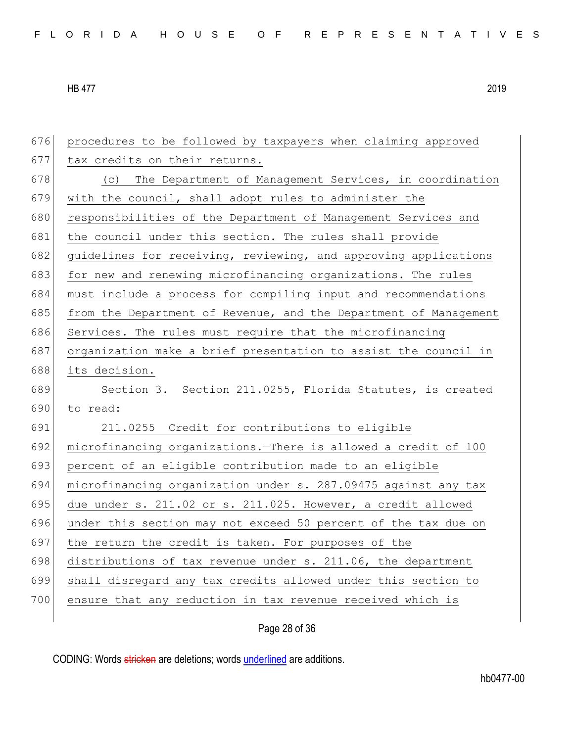| 676 | procedures to be followed by taxpayers when claiming approved    |
|-----|------------------------------------------------------------------|
| 677 | tax credits on their returns.                                    |
| 678 | (c) The Department of Management Services, in coordination       |
| 679 | with the council, shall adopt rules to administer the            |
| 680 | responsibilities of the Department of Management Services and    |
| 681 | the council under this section. The rules shall provide          |
| 682 | guidelines for receiving, reviewing, and approving applications  |
| 683 | for new and renewing microfinancing organizations. The rules     |
| 684 | must include a process for compiling input and recommendations   |
| 685 | from the Department of Revenue, and the Department of Management |
| 686 | Services. The rules must require that the microfinancing         |
| 687 | organization make a brief presentation to assist the council in  |
| 688 | its decision.                                                    |
| 689 | Section 3. Section 211.0255, Florida Statutes, is created        |
| 690 | to read:                                                         |
| 691 | 211.0255 Credit for contributions to eligible                    |
| 692 | microfinancing organizations. There is allowed a credit of 100   |
| 693 | percent of an eligible contribution made to an eligible          |
| 694 | microfinancing organization under s. 287.09475 against any tax   |
| 695 | due under s. 211.02 or s. 211.025. However, a credit allowed     |
| 696 | under this section may not exceed 50 percent of the tax due on   |
| 697 | the return the credit is taken. For purposes of the              |
| 698 | distributions of tax revenue under s. 211.06, the department     |
| 699 | shall disregard any tax credits allowed under this section to    |
| 700 | ensure that any reduction in tax revenue received which is       |
|     |                                                                  |

Page 28 of 36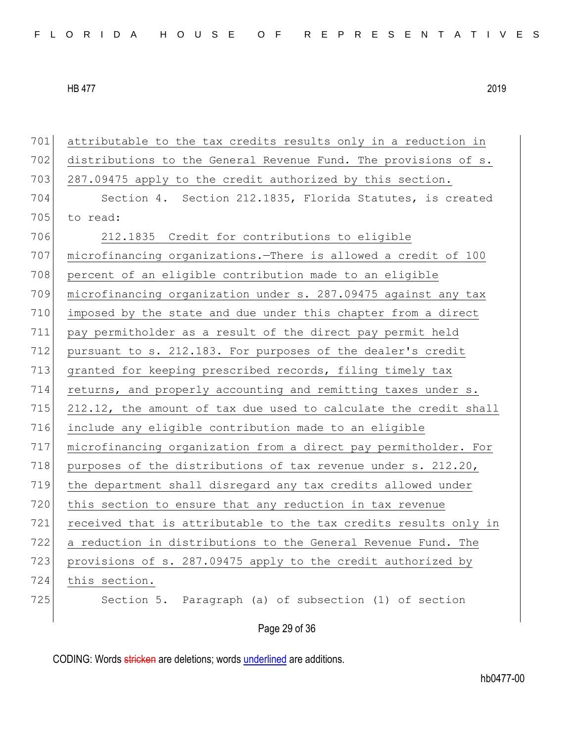Page 29 of 36 701 attributable to the tax credits results only in a reduction in 702 distributions to the General Revenue Fund. The provisions of s. 703 287.09475 apply to the credit authorized by this section. 704 Section 4. Section 212.1835, Florida Statutes, is created  $705$  to read: 706 212.1835 Credit for contributions to eligible 707 microfinancing organizations.—There is allowed a credit of 100 708 percent of an eligible contribution made to an eligible 709 microfinancing organization under s. 287.09475 against any tax 710 imposed by the state and due under this chapter from a direct 711 pay permitholder as a result of the direct pay permit held 712 pursuant to s. 212.183. For purposes of the dealer's credit 713 granted for keeping prescribed records, filing timely tax 714 returns, and properly accounting and remitting taxes under s. 715 212.12, the amount of tax due used to calculate the credit shall 716 include any eligible contribution made to an eligible 717 microfinancing organization from a direct pay permitholder. For 718 purposes of the distributions of tax revenue under  $s. 212.20$ , 719 the department shall disregard any tax credits allowed under 720 this section to ensure that any reduction in tax revenue 721 received that is attributable to the tax credits results only in 722 a reduction in distributions to the General Revenue Fund. The 723 provisions of s. 287.09475 apply to the credit authorized by 724 this section. 725 Section 5. Paragraph (a) of subsection (1) of section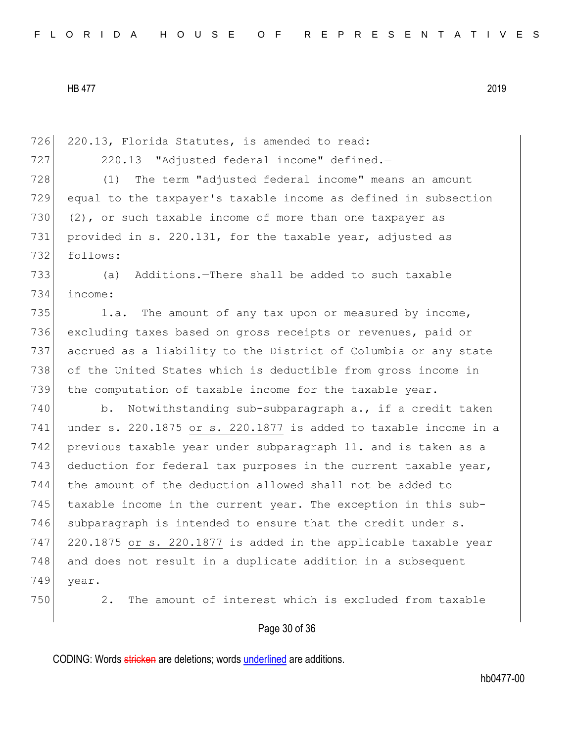726 220.13, Florida Statutes, is amended to read: 727 220.13 "Adjusted federal income" defined.— 728 (1) The term "adjusted federal income" means an amount 729 equal to the taxpayer's taxable income as defined in subsection 730  $(2)$ , or such taxable income of more than one taxpayer as 731 provided in s. 220.131, for the taxable year, adjusted as 732 follows: 733 (a) Additions.—There shall be added to such taxable 734 income: 735 1.a. The amount of any tax upon or measured by income, 736 excluding taxes based on gross receipts or revenues, paid or 737 accrued as a liability to the District of Columbia or any state 738 of the United States which is deductible from gross income in 739 the computation of taxable income for the taxable year. 740 b. Notwithstanding sub-subparagraph a., if a credit taken 741 under s. 220.1875 or s. 220.1877 is added to taxable income in a 742 previous taxable year under subparagraph 11. and is taken as a 743 deduction for federal tax purposes in the current taxable year, 744 the amount of the deduction allowed shall not be added to 745 taxable income in the current year. The exception in this sub-746 subparagraph is intended to ensure that the credit under  $s$ . 747 220.1875 or s. 220.1877 is added in the applicable taxable year 748 and does not result in a duplicate addition in a subsequent 749 year. 750 2. The amount of interest which is excluded from taxable

## Page 30 of 36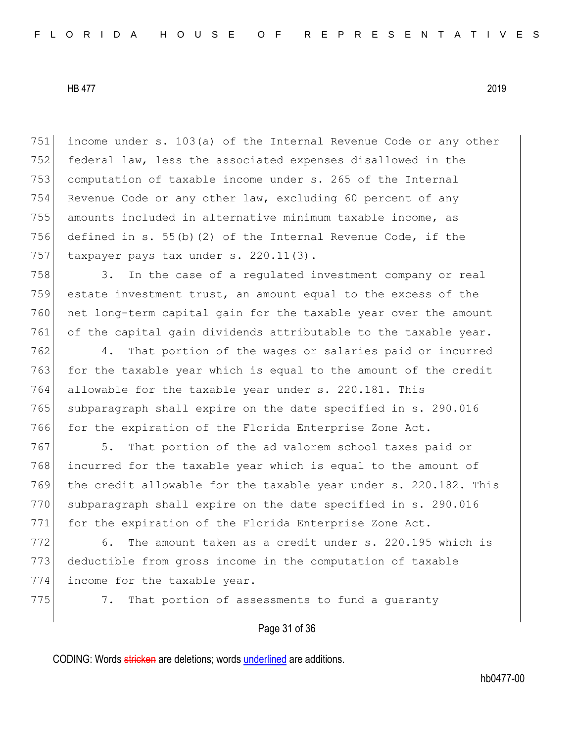751 income under s. 103(a) of the Internal Revenue Code or any other 752 federal law, less the associated expenses disallowed in the 753 computation of taxable income under s. 265 of the Internal 754 Revenue Code or any other law, excluding 60 percent of any 755 amounts included in alternative minimum taxable income, as 756 defined in s. 55(b)(2) of the Internal Revenue Code, if the 757 taxpayer pays tax under  $s. 220.11(3)$ .

758 3. In the case of a regulated investment company or real 759 estate investment trust, an amount equal to the excess of the 760 net long-term capital gain for the taxable year over the amount 761 of the capital gain dividends attributable to the taxable year.

762 4. That portion of the wages or salaries paid or incurred 763 for the taxable year which is equal to the amount of the credit 764 allowable for the taxable year under s. 220.181. This 765 subparagraph shall expire on the date specified in s. 290.016 766 for the expiration of the Florida Enterprise Zone Act.

767 5. That portion of the ad valorem school taxes paid or 768 incurred for the taxable year which is equal to the amount of 769 the credit allowable for the taxable year under s. 220.182. This 770 subparagraph shall expire on the date specified in s. 290.016 771 for the expiration of the Florida Enterprise Zone Act.

772 6. The amount taken as a credit under s. 220.195 which is 773 deductible from gross income in the computation of taxable 774 income for the taxable year.

775 7. That portion of assessments to fund a quaranty

## Page 31 of 36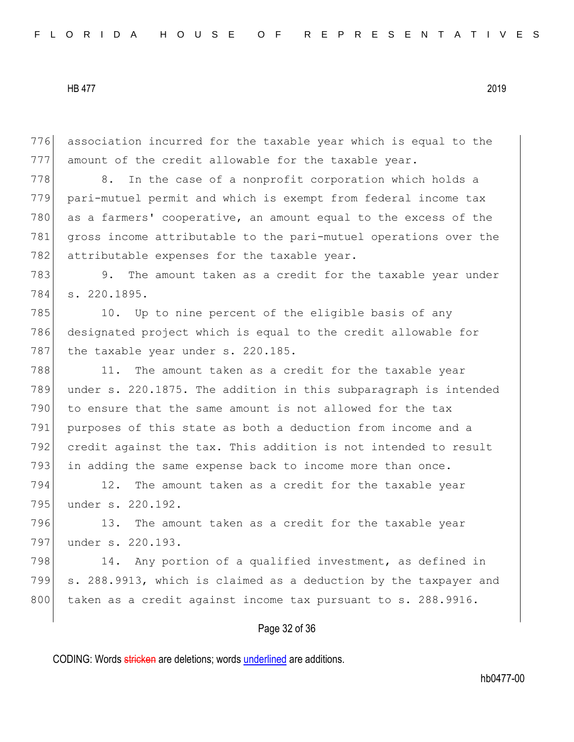Page 32 of 36 776 association incurred for the taxable year which is equal to the 777 amount of the credit allowable for the taxable year. 778 8. In the case of a nonprofit corporation which holds a 779 pari-mutuel permit and which is exempt from federal income tax 780 as a farmers' cooperative, an amount equal to the excess of the 781 gross income attributable to the pari-mutuel operations over the 782 attributable expenses for the taxable year. 783 9. The amount taken as a credit for the taxable year under 784 s. 220.1895. 785 10. Up to nine percent of the eligible basis of any 786 designated project which is equal to the credit allowable for 787 the taxable year under s. 220.185. 788 11. The amount taken as a credit for the taxable year 789 under s. 220.1875. The addition in this subparagraph is intended 790 to ensure that the same amount is not allowed for the tax 791 purposes of this state as both a deduction from income and a 792 credit against the tax. This addition is not intended to result 793 in adding the same expense back to income more than once. 794 12. The amount taken as a credit for the taxable year 795 under s. 220.192. 796 13. The amount taken as a credit for the taxable year 797 under s. 220.193. 798 14. Any portion of a qualified investment, as defined in 799 s. 288.9913, which is claimed as a deduction by the taxpayer and 800 taken as a credit against income tax pursuant to s. 288.9916.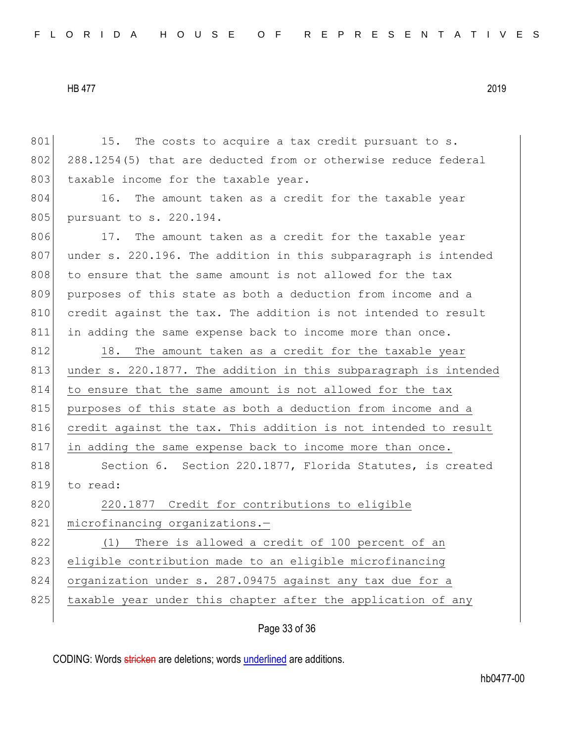801 15. The costs to acquire a tax credit pursuant to s. 802 288.1254(5) that are deducted from or otherwise reduce federal 803 taxable income for the taxable year. 804 16. The amount taken as a credit for the taxable year 805 pursuant to s. 220.194. 806 17. The amount taken as a credit for the taxable year 807 under s. 220.196. The addition in this subparagraph is intended 808 to ensure that the same amount is not allowed for the tax 809 purposes of this state as both a deduction from income and a 810 credit against the tax. The addition is not intended to result 811 in adding the same expense back to income more than once. 812 18. The amount taken as a credit for the taxable year 813 under s. 220.1877. The addition in this subparagraph is intended 814 to ensure that the same amount is not allowed for the tax 815 purposes of this state as both a deduction from income and a 816 credit against the tax. This addition is not intended to result 817 in adding the same expense back to income more than once. 818 Section 6. Section 220.1877, Florida Statutes, is created 819 to read: 820 220.1877 Credit for contributions to eligible 821 microfinancing organizations.-822 (1) There is allowed a credit of 100 percent of an 823 eligible contribution made to an eligible microfinancing 824 organization under s. 287.09475 against any tax due for a 825 taxable year under this chapter after the application of any

Page 33 of 36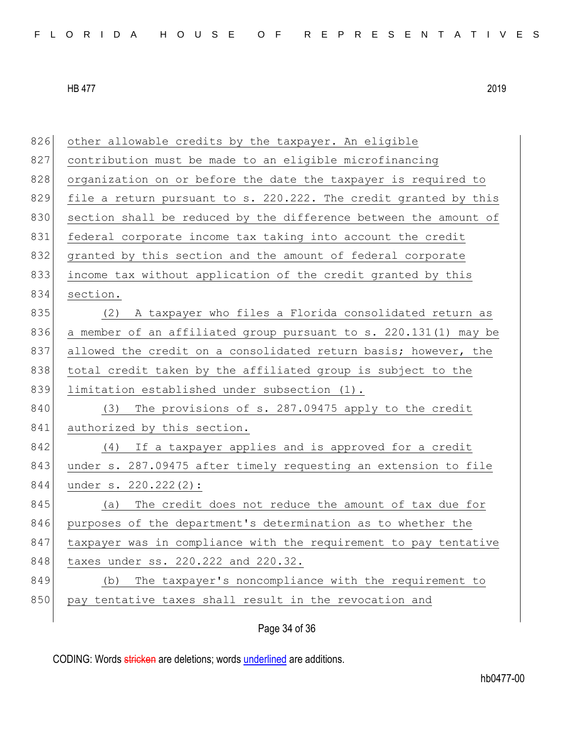| 826 | other allowable credits by the taxpayer. An eligible             |
|-----|------------------------------------------------------------------|
| 827 | contribution must be made to an eligible microfinancing          |
| 828 | organization on or before the date the taxpayer is required to   |
| 829 | file a return pursuant to s. 220.222. The credit granted by this |
| 830 | section shall be reduced by the difference between the amount of |
| 831 | federal corporate income tax taking into account the credit      |
| 832 | granted by this section and the amount of federal corporate      |
| 833 | income tax without application of the credit granted by this     |
| 834 | section.                                                         |
| 835 | A taxpayer who files a Florida consolidated return as<br>(2)     |
| 836 | a member of an affiliated group pursuant to s. 220.131(1) may be |
| 837 | allowed the credit on a consolidated return basis; however, the  |
| 838 | total credit taken by the affiliated group is subject to the     |
|     |                                                                  |
| 839 | limitation established under subsection (1).                     |
| 840 | The provisions of s. 287.09475 apply to the credit<br>(3)        |
| 841 | authorized by this section.                                      |
| 842 | If a taxpayer applies and is approved for a credit<br>(4)        |
| 843 | under s. 287.09475 after timely requesting an extension to file  |
| 844 | under s. 220.222(2):                                             |
| 845 | (a) The credit does not reduce the amount of tax due for         |
| 846 | purposes of the department's determination as to whether the     |
| 847 | taxpayer was in compliance with the requirement to pay tentative |
| 848 | taxes under ss. 220.222 and 220.32.                              |
| 849 | The taxpayer's noncompliance with the requirement to<br>(b)      |
| 850 | pay tentative taxes shall result in the revocation and           |

Page 34 of 36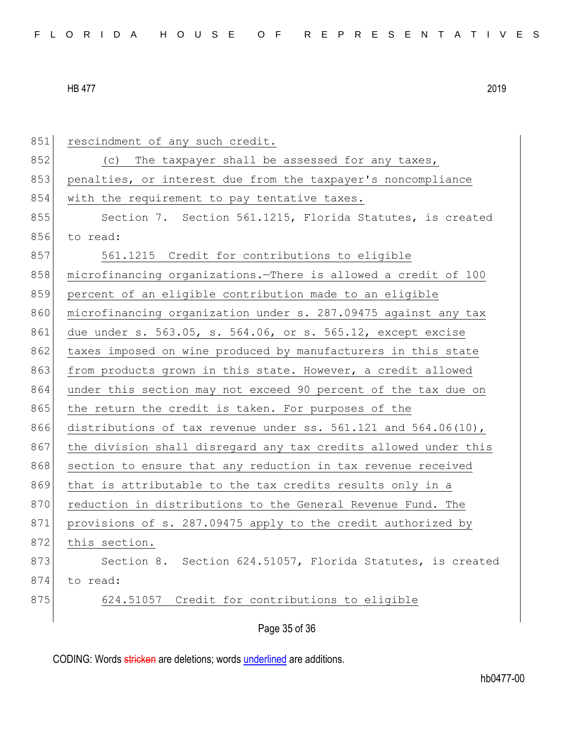| 851 | rescindment of any such credit.                                 |
|-----|-----------------------------------------------------------------|
| 852 | The taxpayer shall be assessed for any taxes,<br>(C)            |
| 853 | penalties, or interest due from the taxpayer's noncompliance    |
| 854 | with the requirement to pay tentative taxes.                    |
| 855 | Section 7. Section 561.1215, Florida Statutes, is created       |
| 856 | to read:                                                        |
| 857 | 561.1215 Credit for contributions to eligible                   |
| 858 | microfinancing organizations. There is allowed a credit of 100  |
| 859 | percent of an eligible contribution made to an eligible         |
| 860 | microfinancing organization under s. 287.09475 against any tax  |
| 861 | due under s. 563.05, s. 564.06, or s. 565.12, except excise     |
| 862 | taxes imposed on wine produced by manufacturers in this state   |
| 863 | from products grown in this state. However, a credit allowed    |
| 864 | under this section may not exceed 90 percent of the tax due on  |
| 865 | the return the credit is taken. For purposes of the             |
| 866 | distributions of tax revenue under ss. 561.121 and 564.06(10),  |
| 867 | the division shall disregard any tax credits allowed under this |
| 868 | section to ensure that any reduction in tax revenue received    |
| 869 | that is attributable to the tax credits results only in a       |
| 870 | reduction in distributions to the General Revenue Fund. The     |
| 871 | provisions of s. 287.09475 apply to the credit authorized by    |
| 872 | this section.                                                   |
| 873 | Section 8. Section 624.51057, Florida Statutes, is created      |
| 874 | to read:                                                        |
| 875 | 624.51057 Credit for contributions to eligible                  |
|     |                                                                 |

Page 35 of 36